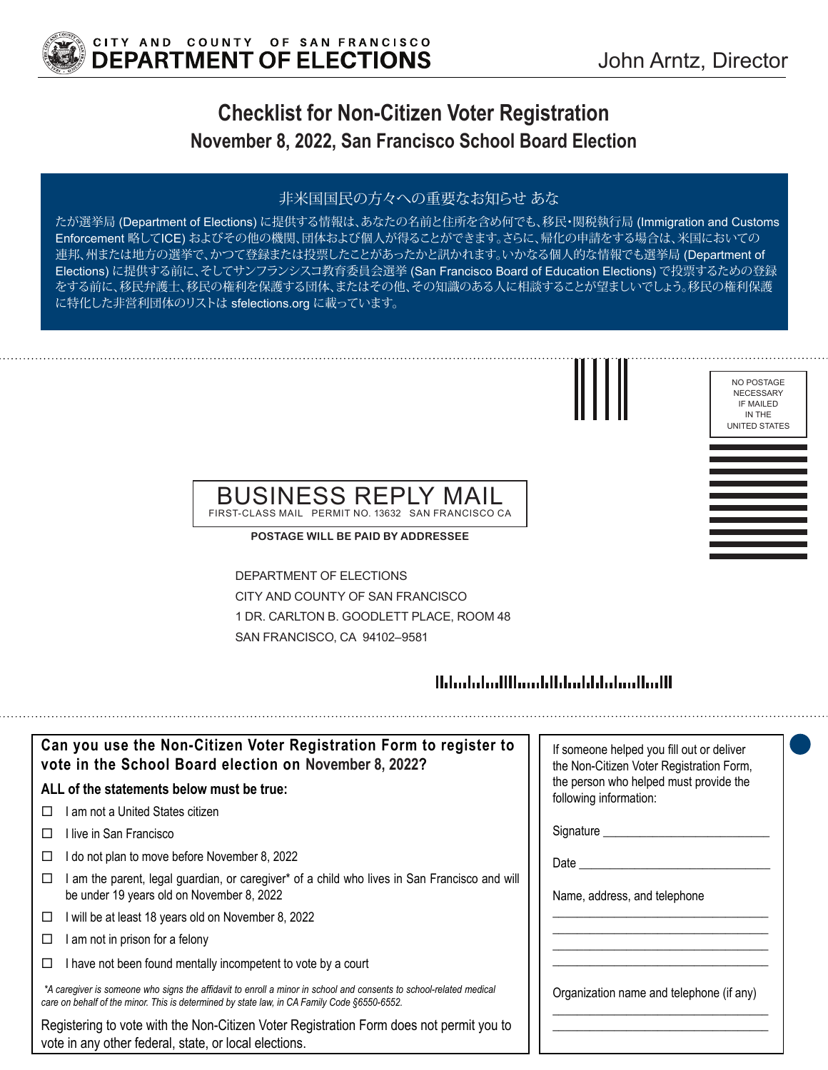

NO POSTAGE NECESSARY IF MAILED IN THE UNITED STATES

# **Checklist for Non-Citizen Voter Registration November 8, 2022, San Francisco School Board Election**

#### 非米国国民の方々への重要なお知らせ あな

たが選挙局 (Department of Elections) に提供する情報は、あなたの名前と住所を含め何でも、移民・関税執行局 (Immigration and Customs Enforcement 略してICE) およびその他の機関、団体および個人が得ることができます。さらに、帰化の申請をする場合は、米国においての 連邦、州または地方の選挙で、かつて登録または投票したことがあったかと訊かれます。いかなる個人的な情報でも選挙局 (Department of Elections) に提供する前に、そしてサンフランシスコ教育委員会選挙 (San Francisco Board of Education Elections) で投票するための登録 をする前に、移民弁護士、移民の権利を保護する団体、またはその他、その知識のある人に相談することが望ましいでしょう。移民の権利保護 に特化した非営利団体のリストは sfelections.org に載っています。



#### BUSINESS REPLY MAIL FIRST-CLASS MAIL PERMIT NO. 13632 SAN FRANCISCO CA

**POSTAGE WILL BE PAID BY ADDRESSEE**

DEPARTMENT OF ELECTIONS CITY AND COUNTY OF SAN FRANCISCO 1 DR. CARLTON B. GOODLETT PLACE, ROOM 48 SAN FRANCISCO, CA 94102–9581

## Habitatud Hhandillah adalah adalah H

| Can you use the Non-Citizen Voter Registration Form to register to<br>vote in the School Board election on November 8, 2022?                                                                                      | If someone helped you fill out or deliver<br>the Non-Citizen Voter Registration Form, |
|-------------------------------------------------------------------------------------------------------------------------------------------------------------------------------------------------------------------|---------------------------------------------------------------------------------------|
| ALL of the statements below must be true:                                                                                                                                                                         | the person who helped must provide the<br>following information:                      |
| am not a United States citizen<br>$\perp$                                                                                                                                                                         |                                                                                       |
| l live in San Francisco<br>Ш                                                                                                                                                                                      |                                                                                       |
| do not plan to move before November 8, 2022<br>ப                                                                                                                                                                  | Date                                                                                  |
| am the parent, legal guardian, or caregiver* of a child who lives in San Francisco and will<br>be under 19 years old on November 8, 2022                                                                          | Name, address, and telephone                                                          |
| will be at least 18 years old on November 8, 2022<br>□                                                                                                                                                            |                                                                                       |
| am not in prison for a felony<br>□                                                                                                                                                                                |                                                                                       |
| I have not been found mentally incompetent to vote by a court<br>ப                                                                                                                                                |                                                                                       |
| *A caregiver is someone who signs the affidavit to enroll a minor in school and consents to school-related medical<br>care on behalf of the minor. This is determined by state law, in CA Family Code §6550-6552. | Organization name and telephone (if any)                                              |
| Registering to vote with the Non-Citizen Voter Registration Form does not permit you to<br>vote in any other federal, state, or local elections.                                                                  |                                                                                       |